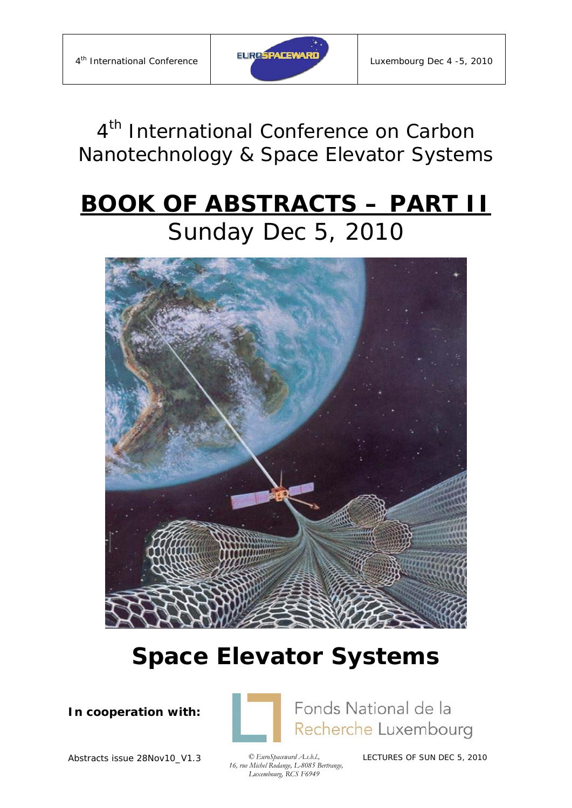

*4th International Conference on Carbon Nanotechnology & Space Elevator Systems*

# **BOOK OF ABSTRACTS – PART II** Sunday Dec 5, 2010



# **Space Elevator Systems**

**In cooperation with:** 



Fonds National de la Recherche Luxembourg

Abstracts issue 28Nov10\_V1.3 *© EuroSpaceward A.s.b.l.,* 

 *16, rue Michel Rodange, L-8085 Bertrange, Luxembourg, RCS F6949*

LECTURES OF SUN DEC 5, 2010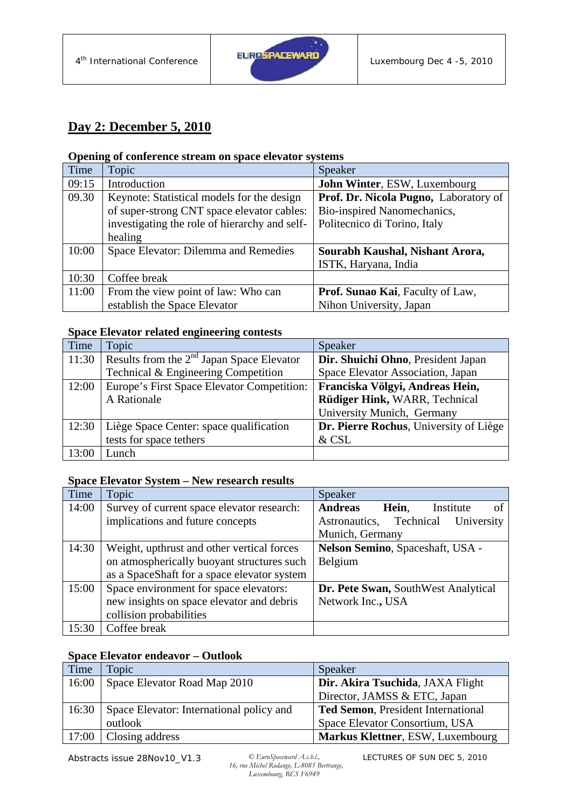

## **Day 2: December 5, 2010**

#### **Opening of conference stream on space elevator systems**

| Time  | Topic                                         | Speaker                               |
|-------|-----------------------------------------------|---------------------------------------|
| 09:15 | Introduction                                  | John Winter, ESW, Luxembourg          |
| 09.30 | Keynote: Statistical models for the design    | Prof. Dr. Nicola Pugno, Laboratory of |
|       | of super-strong CNT space elevator cables:    | Bio-inspired Nanomechanics,           |
|       | investigating the role of hierarchy and self- | Politecnico di Torino, Italy          |
|       | healing                                       |                                       |
| 10:00 | Space Elevator: Dilemma and Remedies          | Sourabh Kaushal, Nishant Arora,       |
|       |                                               | ISTK, Haryana, India                  |
| 10:30 | Coffee break                                  |                                       |
| 11:00 | From the view point of law: Who can           | Prof. Sunao Kai, Faculty of Law,      |
|       | establish the Space Elevator                  | Nihon University, Japan               |

#### **Space Elevator related engineering contests**

| Time  | Topic                                       | Speaker                                |
|-------|---------------------------------------------|----------------------------------------|
| 11:30 | Results from the $2nd$ Japan Space Elevator | Dir. Shuichi Ohno, President Japan     |
|       | Technical & Engineering Competition         | Space Elevator Association, Japan      |
| 12:00 | Europe's First Space Elevator Competition:  | Franciska Völgyi, Andreas Hein,        |
|       | A Rationale                                 | Rüdiger Hink, WARR, Technical          |
|       |                                             | University Munich, Germany             |
| 12:30 | Liège Space Center: space qualification     | Dr. Pierre Rochus, University of Liège |
|       | tests for space tethers                     | & CSL                                  |
| 13:00 | Lunch                                       |                                        |

#### **Space Elevator System – New research results**

| Time  | Topic                                       | Speaker                                    |
|-------|---------------------------------------------|--------------------------------------------|
| 14:00 | Survey of current space elevator research:  | <b>Andreas</b><br>Institute<br>Hein,<br>of |
|       | implications and future concepts            | Astronautics, Technical<br>University      |
|       |                                             | Munich, Germany                            |
| 14:30 | Weight, upthrust and other vertical forces  | Nelson Semino, Spaceshaft, USA -           |
|       | on atmospherically buoyant structures such  | Belgium                                    |
|       | as a SpaceShaft for a space elevator system |                                            |
| 15:00 | Space environment for space elevators:      | Dr. Pete Swan, SouthWest Analytical        |
|       | new insights on space elevator and debris   | Network Inc., USA                          |
|       | collision probabilities                     |                                            |
| 15:30 | Coffee break                                |                                            |

#### **Space Elevator endeavor – Outlook**

| Time  | Topic                                    | Speaker                                   |
|-------|------------------------------------------|-------------------------------------------|
| 16:00 | Space Elevator Road Map 2010             | Dir. Akira Tsuchida, JAXA Flight          |
|       |                                          | Director, JAMSS & ETC, Japan              |
| 16:30 | Space Elevator: International policy and | <b>Ted Semon, President International</b> |
|       | outlook                                  | Space Elevator Consortium, USA            |
| 17:00 | Closing address                          | Markus Klettner, ESW, Luxembourg          |

Abstracts issue 28Nov10\_V1.3

 *16, rue Michel Rodange, L-8085 Bertrange, Luxembourg, RCS F6949*

LECTURES OF SUN DEC 5, 2010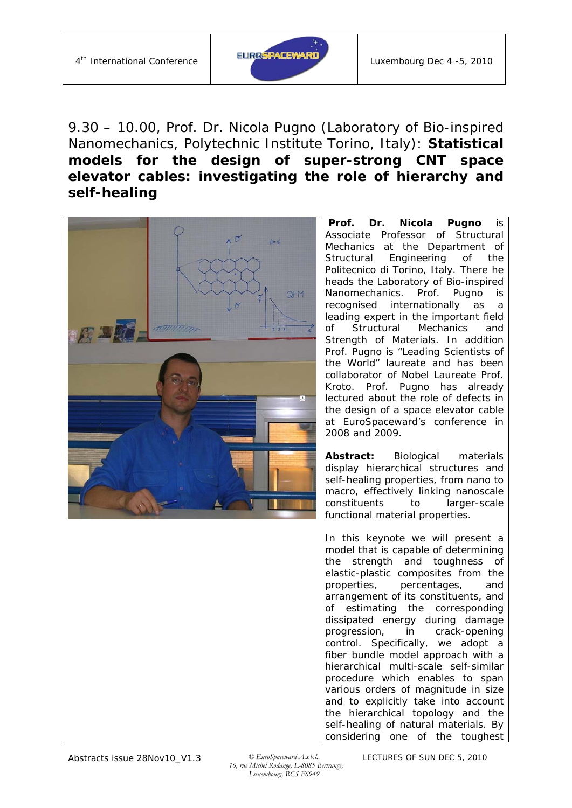

## 9.30 – 10.00, Prof. Dr. Nicola Pugno (Laboratory of Bio-inspired Nanomechanics, Polytechnic Institute Torino, Italy): *Statistical models for the design of super-strong CNT space elevator cables: investigating the role of hierarchy and self-healing*



**Prof. Dr. Nicola Pugno** is Associate Professor of Structural Mechanics at the Department of Structural Engineering of the Politecnico di Torino, Italy. There he heads the Laboratory of Bio-inspired Nanomechanics. Prof. Pugno is recognised internationally as a leading expert in the important field of Structural Mechanics and Strength of Materials. In addition Prof. Pugno is "Leading Scientists of the World" laureate and has been collaborator of Nobel Laureate Prof. Kroto. Prof. Pugno has already lectured about the role of defects in the design of a space elevator cable at EuroSpaceward's conference in 2008 and 2009.

**Abstract:** Biological materials display hierarchical structures and self-healing properties, from nano to macro, effectively linking nanoscale constituents to larger-scale functional material properties.

In this keynote we will present a model that is capable of determining the strength and toughness of elastic-plastic composites from the properties, percentages, and arrangement of its constituents, and of estimating the corresponding dissipated energy during damage progression, in crack-opening control. Specifically, we adopt a fiber bundle model approach with a hierarchical multi-scale self-similar procedure which enables to span various orders of magnitude in size and to explicitly take into account the hierarchical topology and the self-healing of natural materials. By considering one of the toughest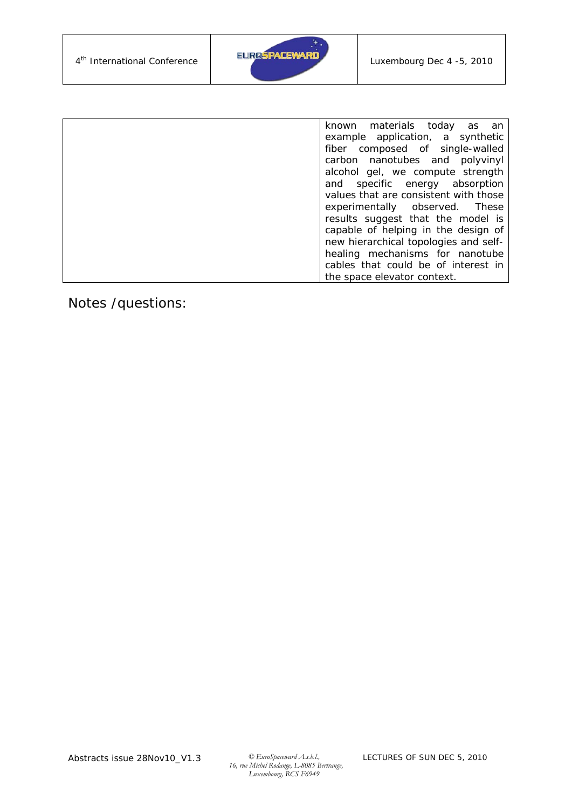

| known materials today as an           |
|---------------------------------------|
| example application, a synthetic      |
| fiber composed of single-walled       |
| carbon nanotubes and polyvinyl        |
| alcohol gel, we compute strength      |
| and specific energy absorption        |
| values that are consistent with those |
| experimentally observed. These        |
| results suggest that the model is     |
| capable of helping in the design of   |
| new hierarchical topologies and self- |
| healing mechanisms for nanotube       |
| cables that could be of interest in   |
| the space elevator context.           |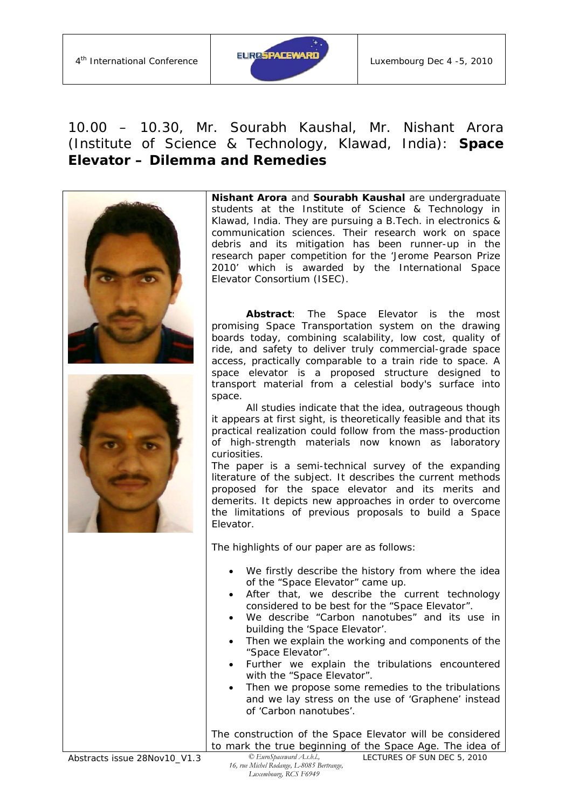

#### 10.00 – 10.30, Mr. Sourabh Kaushal, Mr. Nishant Arora (Institute of Science & Technology, Klawad, India): *Space Elevator – Dilemma and Remedies*



Abstracts issue 28Nov10\_V1.3 *© EuroSpaceward A.s.b.l.,*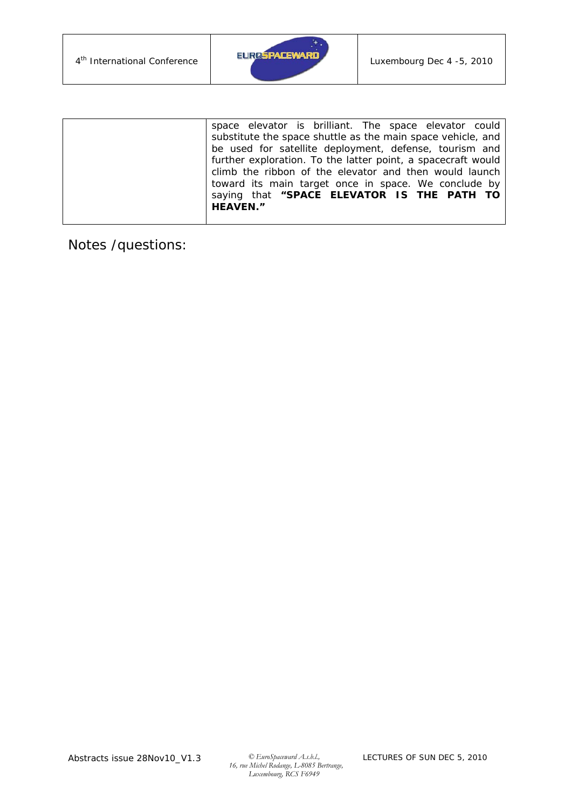

| space elevator is brilliant. The space elevator could        |
|--------------------------------------------------------------|
| substitute the space shuttle as the main space vehicle, and  |
| be used for satellite deployment, defense, tourism and       |
| further exploration. To the latter point, a spacecraft would |
| climb the ribbon of the elevator and then would launch       |
| toward its main target once in space. We conclude by         |
| saying that "SPACE ELEVATOR IS THE PATH TO                   |
| <b>HEAVEN."</b>                                              |
|                                                              |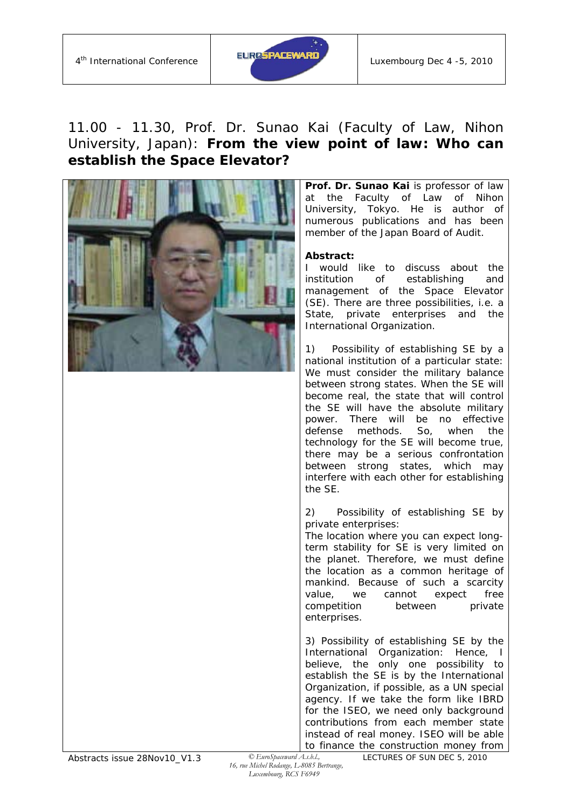

## 11.00 - 11.30, Prof. Dr. Sunao Kai (Faculty of Law, Nihon University, Japan): *From the view point of law: Who can establish the Space Elevator?*



**Prof. Dr. Sunao Kai** is professor of law at the Faculty of Law of Nihon University, Tokyo. He is author of numerous publications and has been member of the Japan Board of Audit.

#### **Abstract:**

I would like to discuss about the institution of establishing and management of the Space Elevator (SE). There are three possibilities, i.e. a State, private enterprises and the International Organization.

1) Possibility of establishing SE by a national institution of a particular state: We must consider the military balance between strong states. When the SE will become real, the state that will control the SE will have the absolute military power. There will be no effective defense methods. So, when the technology for the SE will become true, there may be a serious confrontation between strong states, which may interfere with each other for establishing the SE.

2) Possibility of establishing SE by private enterprises:

The location where you can expect longterm stability for SE is very limited on the planet. Therefore, we must define the location as a common heritage of mankind. Because of such a scarcity value, we cannot expect free competition between private enterprises.

3) Possibility of establishing SE by the International Organization: Hence, I believe, the only one possibility to establish the SE is by the International Organization, if possible, as a UN special agency. If we take the form like IBRD for the ISEO, we need only background contributions from each member state instead of real money. ISEO will be able to finance the construction money from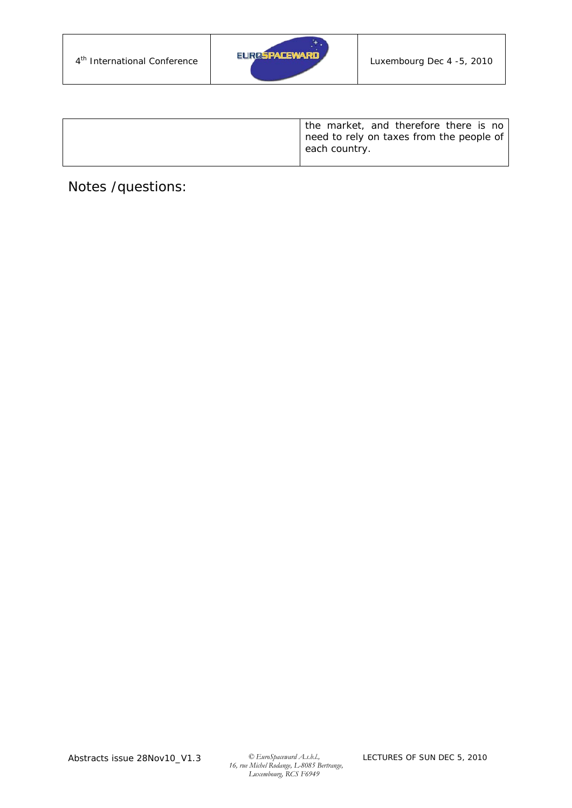

| the market, and therefore there is no<br>need to rely on taxes from the people of<br>each country. |
|----------------------------------------------------------------------------------------------------|
|                                                                                                    |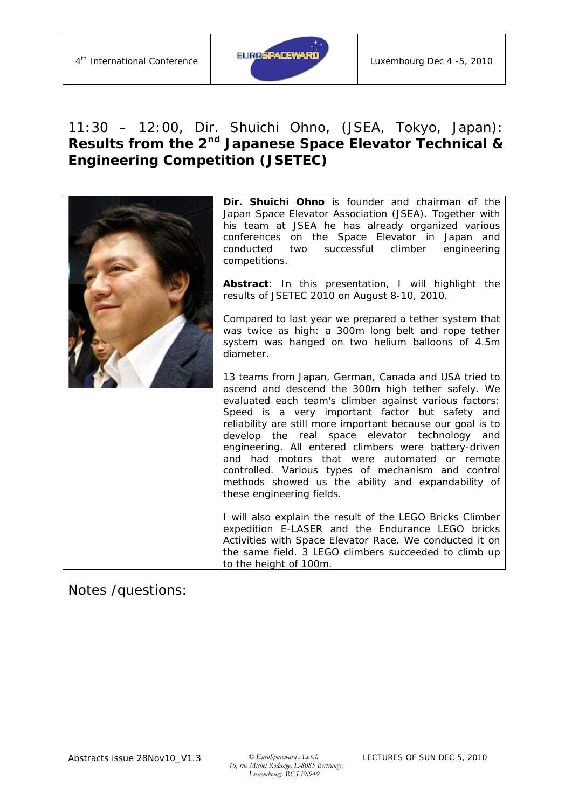

## 11:30 – 12:00, Dir. Shuichi Ohno, (JSEA, Tokyo, Japan): *Results from the 2nd Japanese Space Elevator Technical & Engineering Competition (JSETEC)*

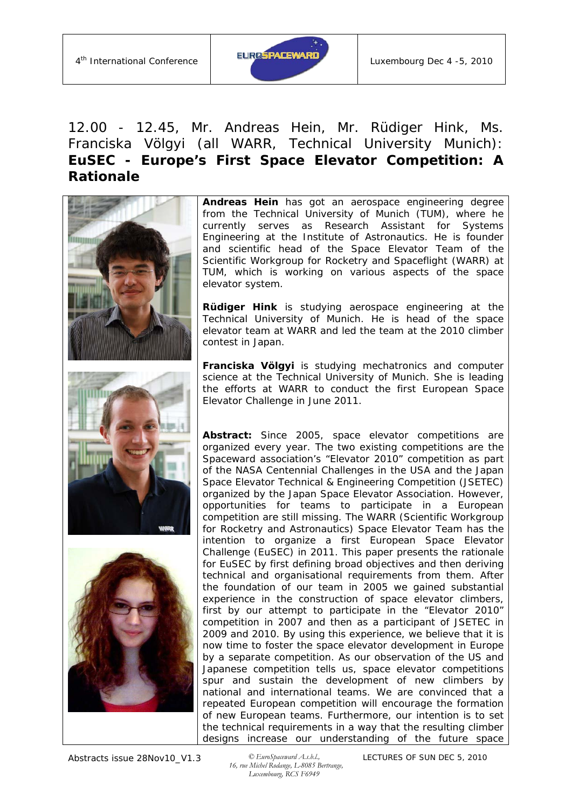

## 12.00 - 12.45, Mr. Andreas Hein, Mr. Rüdiger Hink, Ms. Franciska Völgyi (all WARR, Technical University Munich): *EuSEC - Europe's First Space Elevator Competition: A Rationale*



**Andreas Hein** has got an aerospace engineering degree from the Technical University of Munich (TUM), where he currently serves as Research Assistant for Systems Engineering at the Institute of Astronautics. He is founder and scientific head of the Space Elevator Team of the Scientific Workgroup for Rocketry and Spaceflight (WARR) at TUM, which is working on various aspects of the space elevator system.

**Rüdiger Hink** is studying aerospace engineering at the Technical University of Munich. He is head of the space elevator team at WARR and led the team at the 2010 climber contest in Japan.

**Franciska Völgyi** is studying mechatronics and computer science at the Technical University of Munich. She is leading the efforts at WARR to conduct the first European Space Elevator Challenge in June 2011.

**Abstract:** Since 2005, space elevator competitions are organized every year. The two existing competitions are the Spaceward association's "Elevator 2010" competition as part of the NASA Centennial Challenges in the USA and the Japan Space Elevator Technical & Engineering Competition (JSETEC) organized by the Japan Space Elevator Association. However, opportunities for teams to participate in a European competition are still missing. The WARR (Scientific Workgroup for Rocketry and Astronautics) Space Elevator Team has the intention to organize a first European Space Elevator Challenge (EuSEC) in 2011. This paper presents the rationale for EuSEC by first defining broad objectives and then deriving technical and organisational requirements from them. After the foundation of our team in 2005 we gained substantial experience in the construction of space elevator climbers, first by our attempt to participate in the "Elevator 2010" competition in 2007 and then as a participant of JSETEC in 2009 and 2010. By using this experience, we believe that it is now time to foster the space elevator development in Europe by a separate competition. As our observation of the US and Japanese competition tells us, space elevator competitions spur and sustain the development of new climbers by national and international teams. We are convinced that a repeated European competition will encourage the formation of new European teams. Furthermore, our intention is to set the technical requirements in a way that the resulting climber designs increase our understanding of the future space

 *16, rue Michel Rodange, L-8085 Bertrange, Luxembourg, RCS F6949*

LECTURES OF SUN DEC 5, 2010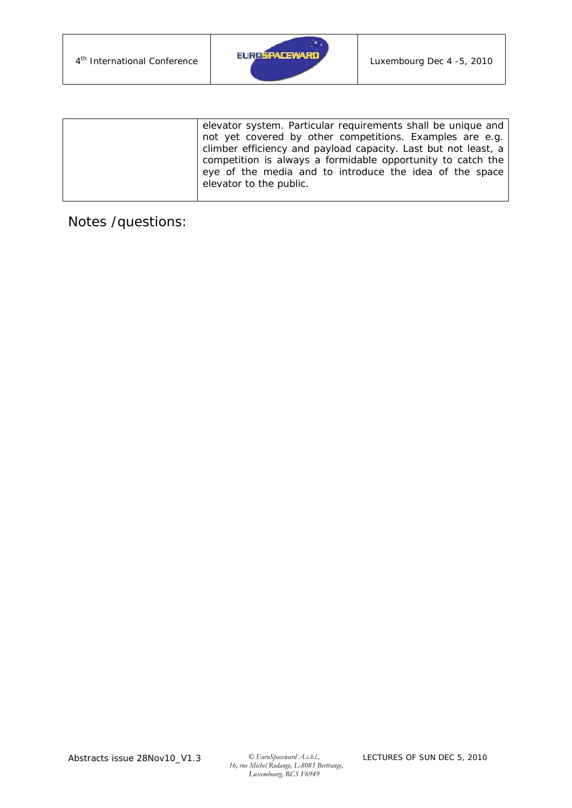

| elevator system. Particular requirements shall be unique and   |
|----------------------------------------------------------------|
| not yet covered by other competitions. Examples are e.g.       |
| climber efficiency and payload capacity. Last but not least, a |
| competition is always a formidable opportunity to catch the    |
| eye of the media and to introduce the idea of the space        |
| elevator to the public.                                        |
|                                                                |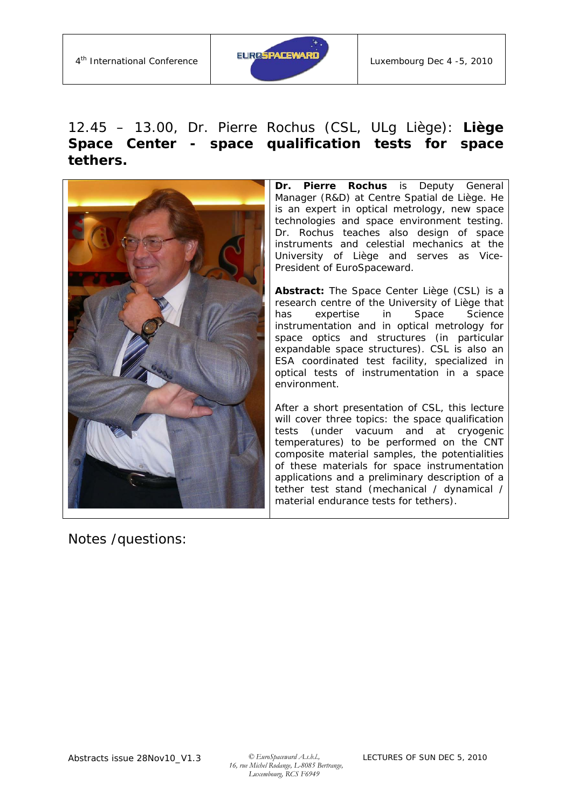

## 12.45 – 13.00, Dr. Pierre Rochus (CSL, ULg Liège): **Liège Space Center -** *space qualification tests for space tethers.*



Notes /questions:

**Dr. Pierre Rochus** is Deputy General Manager (R&D) at Centre Spatial de Liège. He is an expert in optical metrology, new space technologies and space environment testing. Dr. Rochus teaches also design of space instruments and celestial mechanics at the University of Liège and serves as Vice-President of EuroSpaceward.

**Abstract:** The Space Center Liège (CSL) is a research centre of the University of Liège that has expertise in Space Science instrumentation and in optical metrology for space optics and structures (in particular expandable space structures). CSL is also an ESA coordinated test facility, specialized in optical tests of instrumentation in a space environment.

After a short presentation of CSL, this lecture will cover three topics: the space qualification tests (under vacuum and at cryogenic temperatures) to be performed on the CNT composite material samples, the potentialities of these materials for space instrumentation applications and a preliminary description of a tether test stand (mechanical / dynamical / material endurance tests for tethers).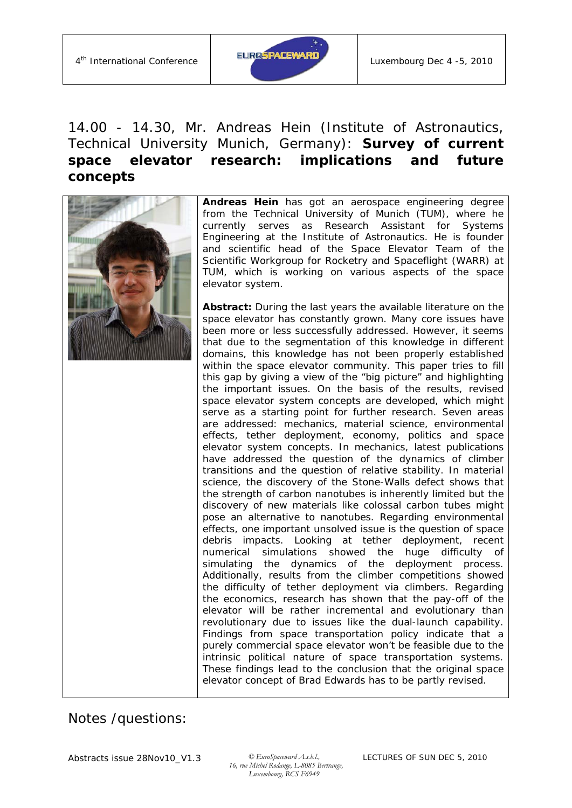

## 14.00 - 14.30, Mr. Andreas Hein (Institute of Astronautics, Technical University Munich, Germany): *Survey of current space elevator research: implications and future concepts*



**Andreas Hein** has got an aerospace engineering degree from the Technical University of Munich (TUM), where he currently serves as Research Assistant for Systems Engineering at the Institute of Astronautics. He is founder and scientific head of the Space Elevator Team of the Scientific Workgroup for Rocketry and Spaceflight (WARR) at TUM, which is working on various aspects of the space elevator system.

**Abstract:** During the last years the available literature on the space elevator has constantly grown. Many core issues have been more or less successfully addressed. However, it seems that due to the segmentation of this knowledge in different domains, this knowledge has not been properly established within the space elevator community. This paper tries to fill this gap by giving a view of the "big picture" and highlighting the important issues. On the basis of the results, revised space elevator system concepts are developed, which might serve as a starting point for further research. Seven areas are addressed: mechanics, material science, environmental effects, tether deployment, economy, politics and space elevator system concepts. In mechanics, latest publications have addressed the question of the dynamics of climber transitions and the question of relative stability. In material science, the discovery of the Stone-Walls defect shows that the strength of carbon nanotubes is inherently limited but the discovery of new materials like colossal carbon tubes might pose an alternative to nanotubes. Regarding environmental effects, one important unsolved issue is the question of space debris impacts. Looking at tether deployment, recent numerical simulations showed the huge difficulty of simulating the dynamics of the deployment process. Additionally, results from the climber competitions showed the difficulty of tether deployment via climbers. Regarding the economics, research has shown that the pay-off of the elevator will be rather incremental and evolutionary than revolutionary due to issues like the dual-launch capability. Findings from space transportation policy indicate that a purely commercial space elevator won't be feasible due to the intrinsic political nature of space transportation systems. These findings lead to the conclusion that the original space elevator concept of Brad Edwards has to be partly revised.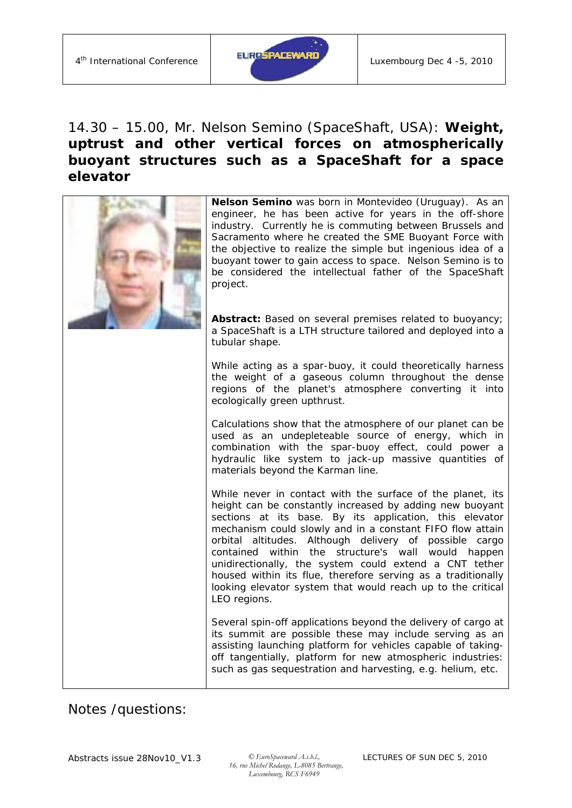

### 14.30 – 15.00, Mr. Nelson Semino (SpaceShaft, USA): *Weight, uptrust and other vertical forces on atmospherically buoyant structures such as a SpaceShaft for a space elevator*

| Nelson Semino was born in Montevideo (Uruguay). As an<br>engineer, he has been active for years in the off-shore<br>industry. Currently he is commuting between Brussels and<br>Sacramento where he created the SME Buoyant Force with<br>the objective to realize the simple but ingenious idea of a<br>buoyant tower to gain access to space. Nelson Semino is to<br>be considered the intellectual father of the SpaceShaft<br>project.                                                                                                                              |
|-------------------------------------------------------------------------------------------------------------------------------------------------------------------------------------------------------------------------------------------------------------------------------------------------------------------------------------------------------------------------------------------------------------------------------------------------------------------------------------------------------------------------------------------------------------------------|
| Abstract: Based on several premises related to buoyancy;<br>a SpaceShaft is a LTH structure tailored and deployed into a<br>tubular shape.                                                                                                                                                                                                                                                                                                                                                                                                                              |
| While acting as a spar-buoy, it could theoretically harness<br>the weight of a gaseous column throughout the dense<br>regions of the planet's atmosphere converting it into<br>ecologically green upthrust.                                                                                                                                                                                                                                                                                                                                                             |
| Calculations show that the atmosphere of our planet can be<br>used as an undepleteable source of energy, which in<br>combination with the spar-buoy effect, could power a<br>hydraulic like system to jack-up massive quantities of<br>materials beyond the Karman line.                                                                                                                                                                                                                                                                                                |
| While never in contact with the surface of the planet, its<br>height can be constantly increased by adding new buoyant<br>sections at its base. By its application, this elevator<br>mechanism could slowly and in a constant FIFO flow attain<br>orbital altitudes. Although delivery of possible cargo<br>contained within the structure's wall would happen<br>unidirectionally, the system could extend a CNT tether<br>housed within its flue, therefore serving as a traditionally<br>looking elevator system that would reach up to the critical<br>LEO regions. |
| Several spin-off applications beyond the delivery of cargo at<br>its summit are possible these may include serving as an<br>assisting launching platform for vehicles capable of taking-<br>off tangentially, platform for new atmospheric industries:<br>such as gas sequestration and harvesting, e.g. helium, etc.                                                                                                                                                                                                                                                   |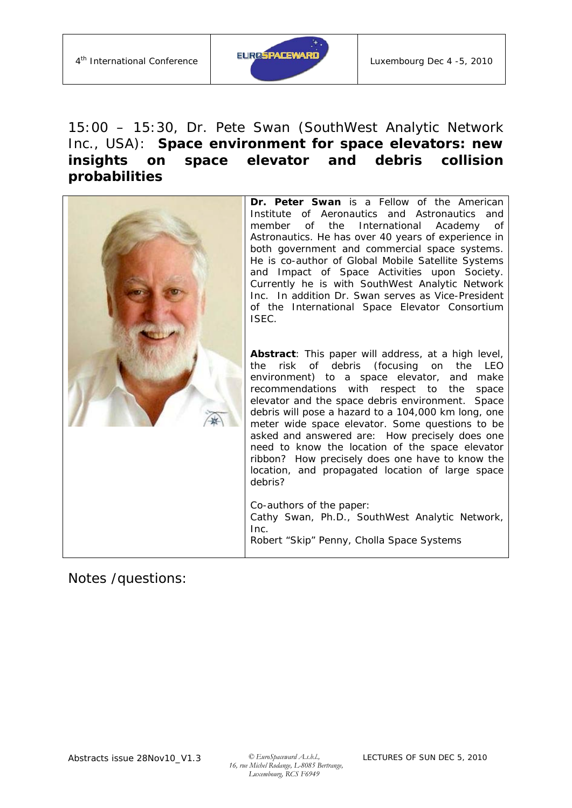

#### 15:00 – 15:30, Dr. Pete Swan (SouthWest Analytic Network Inc., USA): **Space environment for space elevators: new insights on space elevator and debris collision probabilities**

| Dr. Peter Swan is a Fellow of the American<br>Institute of Aeronautics and Astronautics and<br>the<br>International Academy<br>member<br>of<br>0f<br>Astronautics. He has over 40 years of experience in<br>both government and commercial space systems.<br>He is co-author of Global Mobile Satellite Systems<br>and Impact of Space Activities upon Society.<br>Currently he is with SouthWest Analytic Network<br>Inc. In addition Dr. Swan serves as Vice-President<br>of the International Space Elevator Consortium<br>ISEC.                                                                                                                                                                                           |
|-------------------------------------------------------------------------------------------------------------------------------------------------------------------------------------------------------------------------------------------------------------------------------------------------------------------------------------------------------------------------------------------------------------------------------------------------------------------------------------------------------------------------------------------------------------------------------------------------------------------------------------------------------------------------------------------------------------------------------|
| Abstract: This paper will address, at a high level,<br>risk of debris (focusing on the<br>LEO<br>the<br>environment) to a space elevator, and<br>make<br>recommendations with respect to the<br>space<br>elevator and the space debris environment. Space<br>debris will pose a hazard to a 104,000 km long, one<br>meter wide space elevator. Some questions to be<br>asked and answered are: How precisely does one<br>need to know the location of the space elevator<br>ribbon? How precisely does one have to know the<br>location, and propagated location of large space<br>debris?<br>Co-authors of the paper:<br>Cathy Swan, Ph.D., SouthWest Analytic Network,<br>Inc.<br>Robert "Skip" Penny, Cholla Space Systems |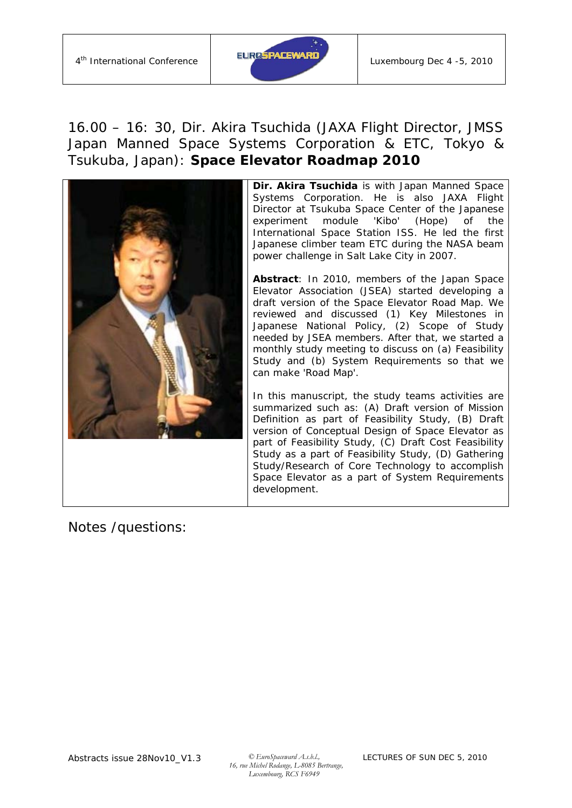

#### 16.00 – 16: 30, Dir. Akira Tsuchida (JAXA Flight Director, JMSS Japan Manned Space Systems Corporation & ETC, Tokyo & Tsukuba, Japan): *Space Elevator Roadmap 2010*



**Dir. Akira Tsuchida** is with Japan Manned Space Systems Corporation. He is also JAXA Flight Director at Tsukuba Space Center of the Japanese experiment module 'Kibo' (Hope) of the International Space Station ISS. He led the first Japanese climber team ETC during the NASA beam power challenge in Salt Lake City in 2007.

**Abstract**: In 2010, members of the Japan Space Elevator Association (JSEA) started developing a draft version of the Space Elevator Road Map. We reviewed and discussed (1) Key Milestones in Japanese National Policy, (2) Scope of Study needed by JSEA members. After that, we started a monthly study meeting to discuss on (a) Feasibility Study and (b) System Requirements so that we can make 'Road Map'.

In this manuscript, the study teams activities are summarized such as: (A) Draft version of Mission Definition as part of Feasibility Study, (B) Draft version of Conceptual Design of Space Elevator as part of Feasibility Study, (C) Draft Cost Feasibility Study as a part of Feasibility Study, (D) Gathering Study/Research of Core Technology to accomplish Space Elevator as a part of System Requirements development.

Notes /questions: